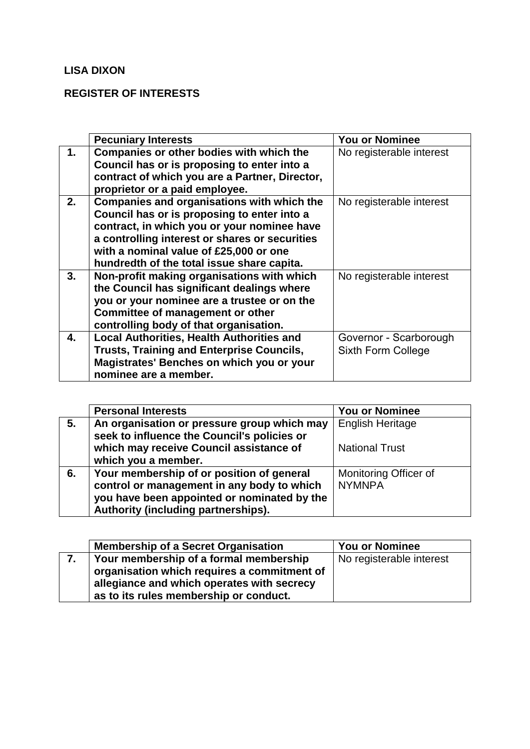## **LISA DIXON**

## **REGISTER OF INTERESTS**

|    | <b>Pecuniary Interests</b>                       | You or Nominee           |
|----|--------------------------------------------------|--------------------------|
| 1. | Companies or other bodies with which the         | No registerable interest |
|    | Council has or is proposing to enter into a      |                          |
|    | contract of which you are a Partner, Director,   |                          |
|    | proprietor or a paid employee.                   |                          |
| 2. | Companies and organisations with which the       | No registerable interest |
|    | Council has or is proposing to enter into a      |                          |
|    | contract, in which you or your nominee have      |                          |
|    | a controlling interest or shares or securities   |                          |
|    | with a nominal value of £25,000 or one           |                          |
|    | hundredth of the total issue share capita.       |                          |
| 3. | Non-profit making organisations with which       | No registerable interest |
|    | the Council has significant dealings where       |                          |
|    | you or your nominee are a trustee or on the      |                          |
|    | Committee of management or other                 |                          |
|    | controlling body of that organisation.           |                          |
| 4. | <b>Local Authorities, Health Authorities and</b> | Governor - Scarborough   |
|    | <b>Trusts, Training and Enterprise Councils,</b> | Sixth Form College       |
|    | Magistrates' Benches on which you or your        |                          |
|    | nominee are a member.                            |                          |

|    | <b>Personal Interests</b>                                                                                                                                                     | <b>You or Nominee</b>                  |
|----|-------------------------------------------------------------------------------------------------------------------------------------------------------------------------------|----------------------------------------|
| 5. | An organisation or pressure group which may<br>seek to influence the Council's policies or                                                                                    | <b>English Heritage</b>                |
|    | which may receive Council assistance of<br>which you a member.                                                                                                                | <b>National Trust</b>                  |
| 6. | Your membership of or position of general<br>control or management in any body to which<br>you have been appointed or nominated by the<br>Authority (including partnerships). | Monitoring Officer of<br><b>NYMNPA</b> |

|    | <b>Membership of a Secret Organisation</b>  | <b>You or Nominee</b>    |
|----|---------------------------------------------|--------------------------|
| 7. | Your membership of a formal membership      | No registerable interest |
|    | organisation which requires a commitment of |                          |
|    | allegiance and which operates with secrecy  |                          |
|    | as to its rules membership or conduct.      |                          |